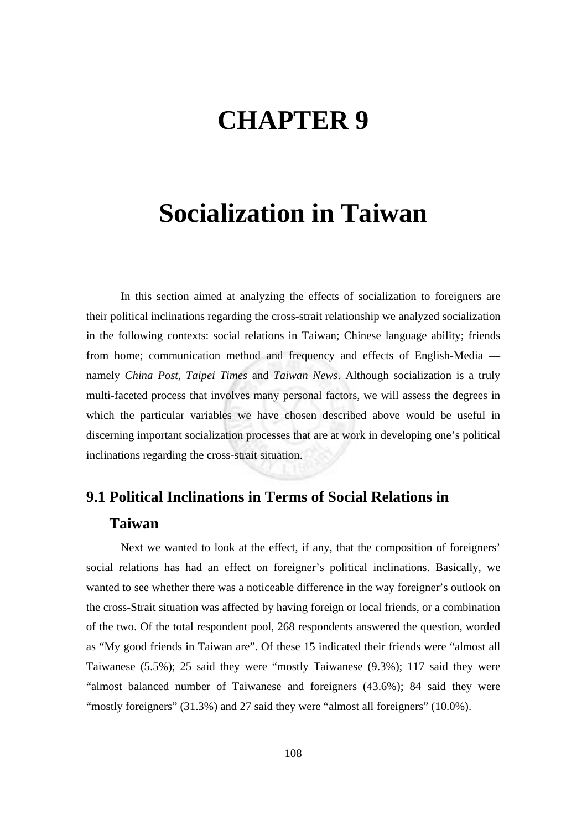# **CHAPTER 9**

## **Socialization in Taiwan**

In this section aimed at analyzing the effects of socialization to foreigners are their political inclinations regarding the cross-strait relationship we analyzed socialization in the following contexts: social relations in Taiwan; Chinese language ability; friends from home; communication method and frequency and effects of English-Media  namely *China Post*, *Taipei Times* and *Taiwan News*. Although socialization is a truly multi-faceted process that involves many personal factors, we will assess the degrees in which the particular variables we have chosen described above would be useful in discerning important socialization processes that are at work in developing one's political inclinations regarding the cross-strait situation.

### **9.1 Political Inclinations in Terms of Social Relations in Taiwan**

Next we wanted to look at the effect, if any, that the composition of foreigners' social relations has had an effect on foreigner's political inclinations. Basically, we wanted to see whether there was a noticeable difference in the way foreigner's outlook on the cross-Strait situation was affected by having foreign or local friends, or a combination of the two. Of the total respondent pool, 268 respondents answered the question, worded as "My good friends in Taiwan are". Of these 15 indicated their friends were "almost all Taiwanese (5.5%); 25 said they were "mostly Taiwanese (9.3%); 117 said they were "almost balanced number of Taiwanese and foreigners (43.6%); 84 said they were "mostly foreigners" (31.3%) and 27 said they were "almost all foreigners" (10.0%).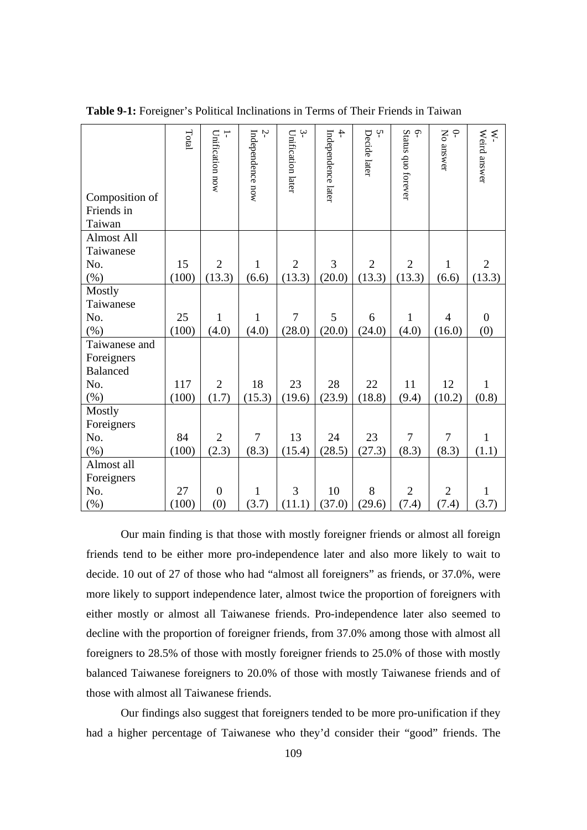| Composition of<br>Friends in<br>Taiwan | Total | $\overline{\phantom{0}}$<br>Unification now | Ņ<br>Independence now | $\ddot{\mathbf{z}}$<br>Unification later | $\overline{+}$<br>Independence later | Ņ<br>Decide later | $\varphi$<br>Status quo forever | $\subsetneq$<br>No answer | Weird answer<br>$\ddot{\varepsilon}$ |
|----------------------------------------|-------|---------------------------------------------|-----------------------|------------------------------------------|--------------------------------------|-------------------|---------------------------------|---------------------------|--------------------------------------|
| Almost All                             |       |                                             |                       |                                          |                                      |                   |                                 |                           |                                      |
| Taiwanese<br>No.                       | 15    | $\overline{2}$                              | $\mathbf{1}$          | $\overline{2}$                           | 3                                    | $\overline{2}$    | $\overline{2}$                  | $\mathbf{1}$              | $\overline{2}$                       |
| $(\% )$                                | (100) | (13.3)                                      | (6.6)                 | (13.3)                                   | (20.0)                               | (13.3)            | (13.3)                          | (6.6)                     | (13.3)                               |
| Mostly                                 |       |                                             |                       |                                          |                                      |                   |                                 |                           |                                      |
| Taiwanese                              |       |                                             |                       |                                          |                                      |                   |                                 |                           |                                      |
| No.                                    | 25    | 1                                           | 1                     | $\overline{7}$                           | 5                                    | 6                 | 1                               | $\overline{4}$            | $\overline{0}$                       |
| (%)                                    | (100) | (4.0)                                       | (4.0)                 | (28.0)                                   | (20.0)                               | (24.0)            | (4.0)                           | (16.0)                    | (0)                                  |
| Taiwanese and                          |       |                                             |                       |                                          |                                      |                   |                                 |                           |                                      |
| Foreigners                             |       |                                             |                       |                                          |                                      |                   |                                 |                           |                                      |
| <b>Balanced</b>                        |       |                                             |                       |                                          |                                      |                   |                                 |                           |                                      |
| No.                                    | 117   | $\overline{2}$                              | 18                    | 23                                       | 28                                   | 22                | 11                              | 12                        | $\mathbf{1}$                         |
| $(\%)$                                 | (100) | (1.7)                                       | (15.3)                | (19.6)                                   | (23.9)                               | (18.8)            | (9.4)                           | (10.2)                    | (0.8)                                |
| Mostly                                 |       |                                             |                       |                                          |                                      |                   |                                 |                           |                                      |
| Foreigners                             |       |                                             |                       |                                          |                                      |                   |                                 |                           |                                      |
| No.                                    | 84    | $\overline{2}$                              | $\overline{7}$        | 13                                       | 24                                   | 23                | $\overline{7}$                  | $\overline{7}$            | $\mathbf{1}$                         |
| (%)                                    | (100) | (2.3)                                       | (8.3)                 | (15.4)                                   | (28.5)                               | (27.3)            | (8.3)                           | (8.3)                     | (1.1)                                |
| Almost all                             |       |                                             |                       |                                          |                                      |                   |                                 |                           |                                      |
| Foreigners                             |       |                                             |                       |                                          |                                      |                   |                                 |                           |                                      |
| No.                                    | 27    | $\boldsymbol{0}$                            | $\mathbf{1}$          | 3                                        | 10                                   | 8                 | $\overline{2}$                  | $\overline{2}$            | $\mathbf{1}$                         |
| $(\%)$                                 | (100) | (0)                                         | (3.7)                 | (11.1)                                   | (37.0)                               | (29.6)            | (7.4)                           | (7.4)                     | (3.7)                                |

**Table 9-1:** Foreigner's Political Inclinations in Terms of Their Friends in Taiwan

Our main finding is that those with mostly foreigner friends or almost all foreign friends tend to be either more pro-independence later and also more likely to wait to decide. 10 out of 27 of those who had "almost all foreigners" as friends, or 37.0%, were more likely to support independence later, almost twice the proportion of foreigners with either mostly or almost all Taiwanese friends. Pro-independence later also seemed to decline with the proportion of foreigner friends, from 37.0% among those with almost all foreigners to 28.5% of those with mostly foreigner friends to 25.0% of those with mostly balanced Taiwanese foreigners to 20.0% of those with mostly Taiwanese friends and of those with almost all Taiwanese friends.

Our findings also suggest that foreigners tended to be more pro-unification if they had a higher percentage of Taiwanese who they'd consider their "good" friends. The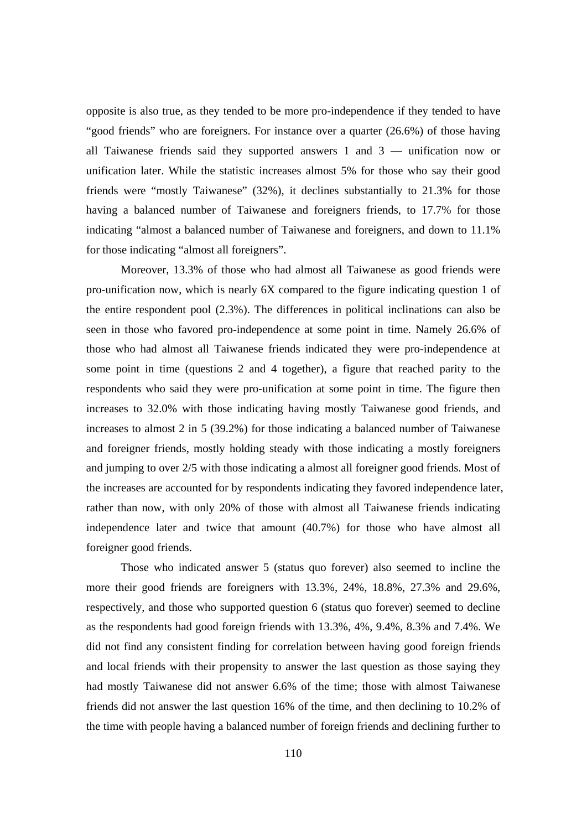opposite is also true, as they tended to be more pro-independence if they tended to have "good friends" who are foreigners. For instance over a quarter (26.6%) of those having all Taiwanese friends said they supported answers 1 and 3 **—** unification now or unification later. While the statistic increases almost 5% for those who say their good friends were "mostly Taiwanese" (32%), it declines substantially to 21.3% for those having a balanced number of Taiwanese and foreigners friends, to 17.7% for those indicating "almost a balanced number of Taiwanese and foreigners, and down to 11.1% for those indicating "almost all foreigners".

Moreover, 13.3% of those who had almost all Taiwanese as good friends were pro-unification now, which is nearly 6X compared to the figure indicating question 1 of the entire respondent pool (2.3%). The differences in political inclinations can also be seen in those who favored pro-independence at some point in time. Namely 26.6% of those who had almost all Taiwanese friends indicated they were pro-independence at some point in time (questions 2 and 4 together), a figure that reached parity to the respondents who said they were pro-unification at some point in time. The figure then increases to 32.0% with those indicating having mostly Taiwanese good friends, and increases to almost 2 in 5 (39.2%) for those indicating a balanced number of Taiwanese and foreigner friends, mostly holding steady with those indicating a mostly foreigners and jumping to over 2/5 with those indicating a almost all foreigner good friends. Most of the increases are accounted for by respondents indicating they favored independence later, rather than now, with only 20% of those with almost all Taiwanese friends indicating independence later and twice that amount (40.7%) for those who have almost all foreigner good friends.

Those who indicated answer 5 (status quo forever) also seemed to incline the more their good friends are foreigners with 13.3%, 24%, 18.8%, 27.3% and 29.6%, respectively, and those who supported question 6 (status quo forever) seemed to decline as the respondents had good foreign friends with 13.3%, 4%, 9.4%, 8.3% and 7.4%. We did not find any consistent finding for correlation between having good foreign friends and local friends with their propensity to answer the last question as those saying they had mostly Taiwanese did not answer 6.6% of the time; those with almost Taiwanese friends did not answer the last question 16% of the time, and then declining to 10.2% of the time with people having a balanced number of foreign friends and declining further to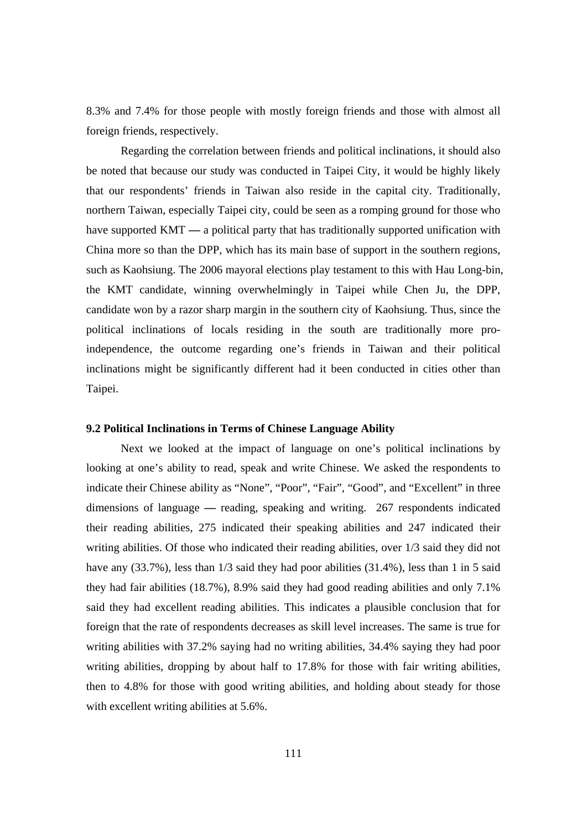8.3% and 7.4% for those people with mostly foreign friends and those with almost all foreign friends, respectively.

Regarding the correlation between friends and political inclinations, it should also be noted that because our study was conducted in Taipei City, it would be highly likely that our respondents' friends in Taiwan also reside in the capital city. Traditionally, northern Taiwan, especially Taipei city, could be seen as a romping ground for those who have supported KMT **—** a political party that has traditionally supported unification with China more so than the DPP, which has its main base of support in the southern regions, such as Kaohsiung. The 2006 mayoral elections play testament to this with Hau Long-bin, the KMT candidate, winning overwhelmingly in Taipei while Chen Ju, the DPP, candidate won by a razor sharp margin in the southern city of Kaohsiung. Thus, since the political inclinations of locals residing in the south are traditionally more proindependence, the outcome regarding one's friends in Taiwan and their political inclinations might be significantly different had it been conducted in cities other than Taipei.

#### **9.2 Political Inclinations in Terms of Chinese Language Ability**

Next we looked at the impact of language on one's political inclinations by looking at one's ability to read, speak and write Chinese. We asked the respondents to indicate their Chinese ability as "None", "Poor", "Fair", "Good", and "Excellent" in three dimensions of language **—** reading, speaking and writing. 267 respondents indicated their reading abilities, 275 indicated their speaking abilities and 247 indicated their writing abilities. Of those who indicated their reading abilities, over 1/3 said they did not have any  $(33.7\%)$ , less than  $1/3$  said they had poor abilities  $(31.4\%)$ , less than 1 in 5 said they had fair abilities (18.7%), 8.9% said they had good reading abilities and only 7.1% said they had excellent reading abilities. This indicates a plausible conclusion that for foreign that the rate of respondents decreases as skill level increases. The same is true for writing abilities with 37.2% saying had no writing abilities, 34.4% saying they had poor writing abilities, dropping by about half to 17.8% for those with fair writing abilities, then to 4.8% for those with good writing abilities, and holding about steady for those with excellent writing abilities at  $5.6\%$ .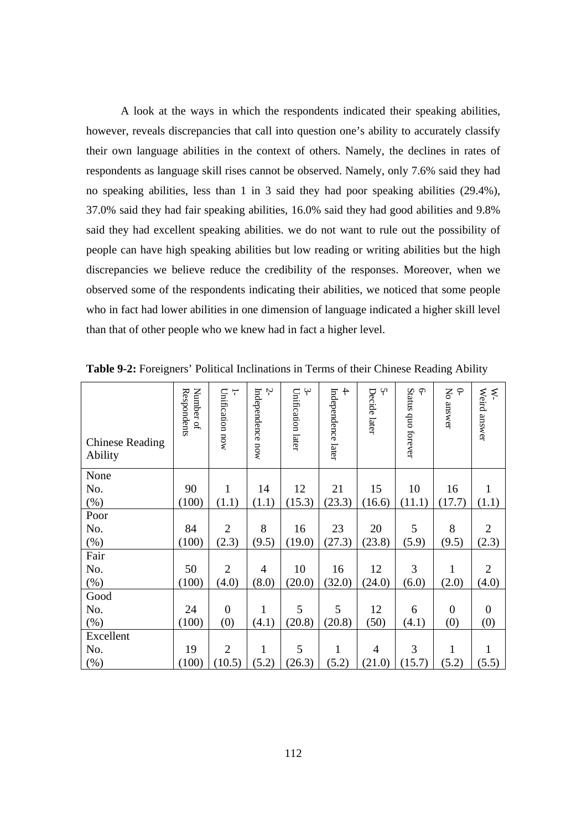A look at the ways in which the respondents indicated their speaking abilities, however, reveals discrepancies that call into question one's ability to accurately classify their own language abilities in the context of others. Namely, the declines in rates of respondents as language skill rises cannot be observed. Namely, only 7.6% said they had no speaking abilities, less than 1 in 3 said they had poor speaking abilities (29.4%), 37.0% said they had fair speaking abilities, 16.0% said they had good abilities and 9.8% said they had excellent speaking abilities. we do not want to rule out the possibility of people can have high speaking abilities but low reading or writing abilities but the high discrepancies we believe reduce the credibility of the responses. Moreover, when we observed some of the respondents indicating their abilities, we noticed that some people who in fact had lower abilities in one dimension of language indicated a higher skill level than that of other people who we knew had in fact a higher level.

| <b>Chinese Reading</b><br>Ability | Respondents<br>Number of | Unification now<br>┯ | Ņ<br>Independence now | $\ddot{ }$<br>Unification later | $\ddot{+}$<br>Independence later | Ņ<br>Decide later | Status quo forever<br>ᡨ | No answer<br>$\subset$ | Weird answer<br>$\aleph$ |
|-----------------------------------|--------------------------|----------------------|-----------------------|---------------------------------|----------------------------------|-------------------|-------------------------|------------------------|--------------------------|
| None                              |                          |                      |                       |                                 |                                  |                   |                         |                        |                          |
| No.                               | 90                       | $\mathbf{1}$         | 14                    | 12                              | 21                               | 15                | 10                      | 16                     | $\mathbf{1}$             |
| $(\%)$                            | (100)                    | (1.1)                | (1.1)                 | (15.3)                          | (23.3)                           | (16.6)            | (11.1)                  | (17.7)                 | (1.1)                    |
| Poor                              |                          |                      |                       |                                 |                                  |                   |                         |                        |                          |
| No.                               | 84                       | $\overline{2}$       | 8                     | 16                              | 23                               | 20                | 5                       | 8                      | $\overline{2}$           |
| $(\%)$                            | (100)                    | (2.3)                | (9.5)                 | (19.0)                          | (27.3)                           | (23.8)            | (5.9)                   | (9.5)                  | (2.3)                    |
| Fair                              |                          |                      |                       |                                 |                                  |                   |                         |                        |                          |
| No.                               | 50                       | $\overline{2}$       | 4                     | 10                              | 16                               | 12                | 3                       | $\mathbf{1}$           | $\overline{2}$           |
| (%)                               | (100)                    | (4.0)                | (8.0)                 | (20.0)                          | (32.0)                           | (24.0)            | (6.0)                   | (2.0)                  | (4.0)                    |
| Good                              |                          |                      |                       |                                 |                                  |                   |                         |                        |                          |
| No.                               | 24                       | $\overline{0}$       | $\mathbf{1}$          | 5                               | 5                                | 12                | 6                       | $\overline{0}$         | $\overline{0}$           |
| (%)                               | (100)                    | (0)                  | (4.1)                 | (20.8)                          | (20.8)                           | (50)              | (4.1)                   | (0)                    | (0)                      |
| Excellent                         |                          |                      |                       |                                 |                                  |                   |                         |                        |                          |
| No.                               | 19                       | $\overline{2}$       | $\mathbf{1}$          | 5                               | $\mathbf{1}$                     | $\overline{4}$    | 3                       | 1                      | 1                        |
| (%)                               | (100)                    | (10.5)               | (5.2)                 | (26.3)                          | (5.2)                            | (21.0)            | (15.7)                  | (5.2)                  | (5.5)                    |

**Table 9-2:** Foreigners' Political Inclinations in Terms of their Chinese Reading Ability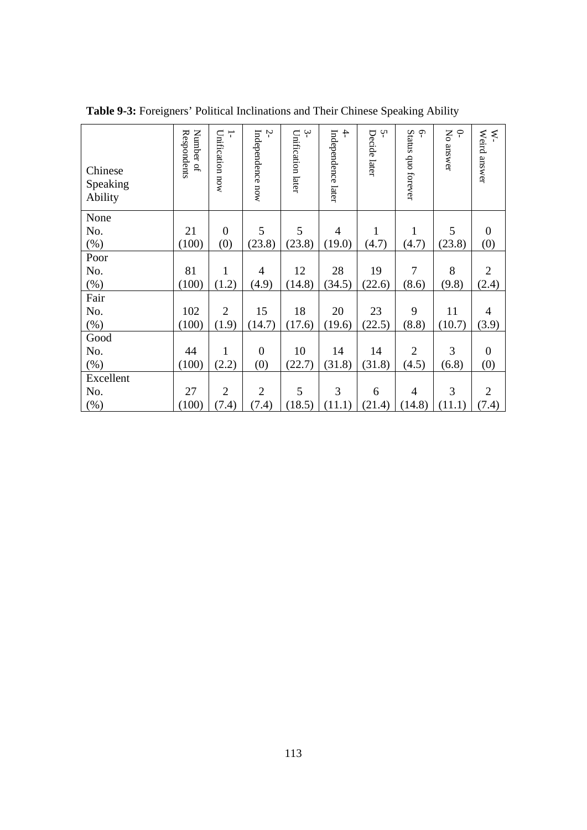| Chinese<br>Speaking<br>Ability | Number of<br>Respondents | Unification now<br>┯ | Ņ<br>Independence now | $\ddot{ }$<br>Unification later | $\ddot{+}$<br>Independence later | Ņ<br>Decide later | $\varphi$<br>Status quo forever | Σρ<br>$\subset$<br>answer | Weird answer<br>₹ |
|--------------------------------|--------------------------|----------------------|-----------------------|---------------------------------|----------------------------------|-------------------|---------------------------------|---------------------------|-------------------|
| None                           |                          |                      |                       |                                 |                                  |                   |                                 |                           |                   |
| No.                            | 21                       | $\boldsymbol{0}$     | 5                     | 5                               | 4                                | 1                 | 1                               | 5                         | $\boldsymbol{0}$  |
| $(\% )$                        | (100)                    | (0)                  | (23.8)                | (23.8)                          | (19.0)                           | (4.7)             | (4.7)                           | (23.8)                    | (0)               |
| Poor                           |                          |                      |                       |                                 |                                  |                   |                                 |                           |                   |
| No.                            | 81                       | $\mathbf{1}$         | $\overline{4}$        | 12                              | 28                               | 19                | 7                               | 8                         | $\overline{2}$    |
| $(\%)$                         | (100)                    | (1.2)                | (4.9)                 | (14.8)                          | (34.5)                           | (22.6)            | (8.6)                           | (9.8)                     | (2.4)             |
| Fair                           |                          |                      |                       |                                 |                                  |                   |                                 |                           |                   |
| No.                            | 102                      | $\overline{2}$       | 15                    | 18                              | 20                               | 23                | 9                               | 11                        | 4                 |
| $(\% )$                        | (100)                    | (1.9)                | (14.7)                | (17.6)                          | (19.6)                           | (22.5)            | (8.8)                           | (10.7)                    | (3.9)             |
| Good                           |                          |                      |                       |                                 |                                  |                   |                                 |                           |                   |
| No.                            | 44                       | $\mathbf{1}$         | $\boldsymbol{0}$      | 10                              | 14                               | 14                | $\overline{2}$                  | 3                         | $\boldsymbol{0}$  |
| $(\%)$                         | (100)                    | (2.2)                | (0)                   | (22.7)                          | (31.8)                           | (31.8)            | (4.5)                           | (6.8)                     | (0)               |
| Excellent                      |                          |                      |                       |                                 |                                  |                   |                                 |                           |                   |
| No.                            | 27                       | $\overline{2}$       | $\overline{2}$        | 5                               | 3                                | 6                 | $\overline{4}$                  | 3                         | $\overline{2}$    |
| (% )                           | (100)                    | (7.4)                | (7.4)                 | (18.5)                          | (11.1)                           | (21.4)            | (14.8)                          | (11.1)                    | (7.4)             |

**Table 9-3:** Foreigners' Political Inclinations and Their Chinese Speaking Ability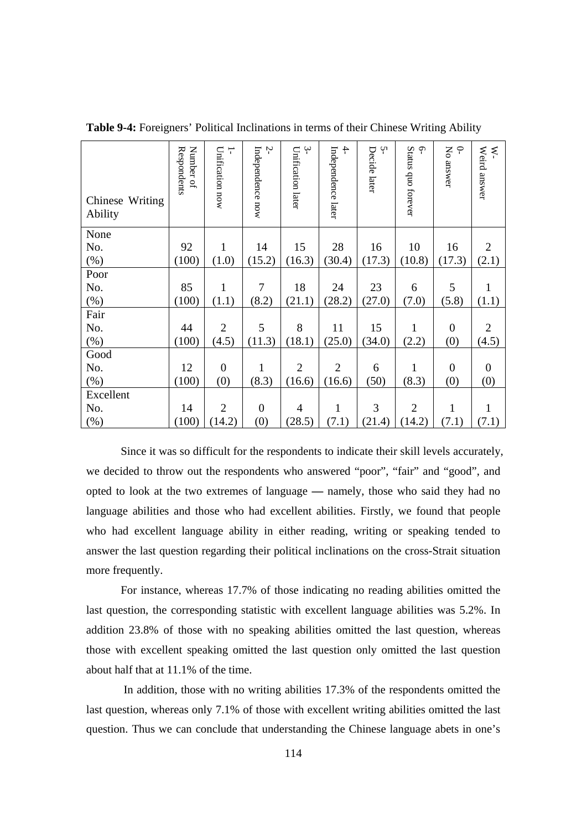| Chinese Writing<br>Ability | Number of<br>Respondents | Unification now<br>T | Ņ<br>Independence now | $\ddot{ }$<br>Unification later | $\ddot{+}$<br>Independence later | Ļ٦<br>Decide later | Status quo forever<br>$\mathsf{S}$ | $\varphi$<br>Σρ<br>answer | Weird answer<br>⋞ |
|----------------------------|--------------------------|----------------------|-----------------------|---------------------------------|----------------------------------|--------------------|------------------------------------|---------------------------|-------------------|
| None                       |                          |                      |                       |                                 |                                  |                    |                                    |                           |                   |
| No.                        | 92                       | $\mathbf{1}$         | 14                    | 15                              | 28                               | 16                 | 10                                 | 16                        | $\overline{2}$    |
| (%)                        | (100)                    | (1.0)                | (15.2)                | (16.3)                          | (30.4)                           | (17.3)             | (10.8)                             | (17.3)                    | (2.1)             |
| Poor                       |                          |                      |                       |                                 |                                  |                    |                                    |                           |                   |
| No.                        | 85                       | 1                    | $\overline{7}$        | 18                              | 24                               | 23                 | 6                                  | 5                         | $\mathbf{1}$      |
| (%)                        | (100)                    | (1.1)                | (8.2)                 | (21.1)                          | (28.2)                           | (27.0)             | (7.0)                              | (5.8)                     | (1.1)             |
| Fair                       |                          |                      |                       |                                 |                                  |                    |                                    |                           |                   |
| No.                        | 44                       | $\overline{2}$       | 5                     | 8                               | 11                               | 15                 | 1                                  | $\boldsymbol{0}$          | $\overline{2}$    |
| (% )                       | (100)                    | (4.5)                | (11.3)                | (18.1)                          | (25.0)                           | (34.0)             | (2.2)                              | (0)                       | (4.5)             |
| Good                       |                          |                      |                       |                                 |                                  |                    |                                    |                           |                   |
| No.                        | 12                       | $\overline{0}$       | 1                     | $\overline{2}$                  | $\overline{2}$                   | 6                  | 1                                  | $\overline{0}$            | $\mathbf{0}$      |
| (%)                        | (100)                    | (0)                  | (8.3)                 | (16.6)                          | (16.6)                           | (50)               | (8.3)                              | (0)                       | (0)               |
| Excellent                  |                          |                      |                       |                                 |                                  |                    |                                    |                           |                   |
| No.                        | 14                       | $\overline{2}$       | $\mathbf{0}$          | 4                               | $\mathbf{1}$                     | 3                  | $\overline{2}$                     | $\mathbf{1}$              | $\mathbf{1}$      |
| (%)                        | (100)                    | (14.2)               | (0)                   | (28.5)                          | (7.1)                            | (21.4)             | (14.2)                             | (7.1)                     | (7.1)             |

**Table 9-4:** Foreigners' Political Inclinations in terms of their Chinese Writing Ability

Since it was so difficult for the respondents to indicate their skill levels accurately, we decided to throw out the respondents who answered "poor", "fair" and "good", and opted to look at the two extremes of language **—** namely, those who said they had no language abilities and those who had excellent abilities. Firstly, we found that people who had excellent language ability in either reading, writing or speaking tended to answer the last question regarding their political inclinations on the cross-Strait situation more frequently.

For instance, whereas 17.7% of those indicating no reading abilities omitted the last question, the corresponding statistic with excellent language abilities was 5.2%. In addition 23.8% of those with no speaking abilities omitted the last question, whereas those with excellent speaking omitted the last question only omitted the last question about half that at 11.1% of the time.

 In addition, those with no writing abilities 17.3% of the respondents omitted the last question, whereas only 7.1% of those with excellent writing abilities omitted the last question. Thus we can conclude that understanding the Chinese language abets in one's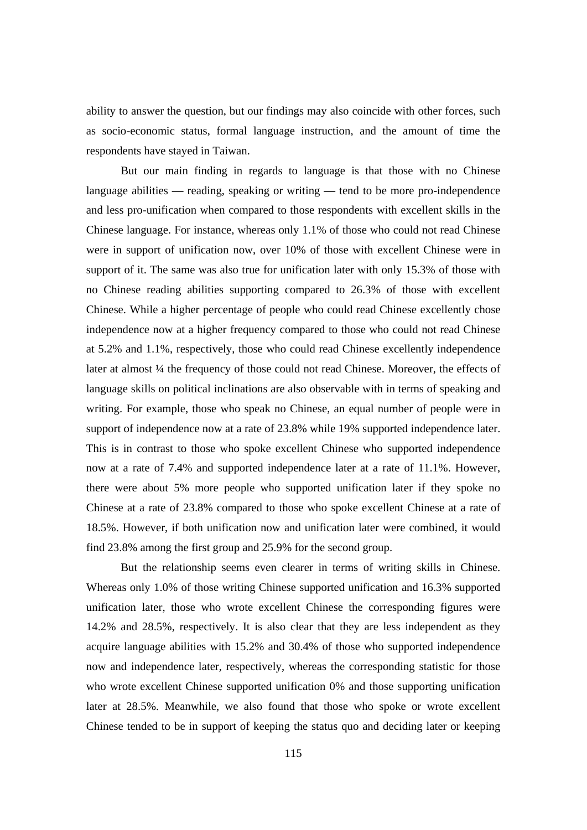ability to answer the question, but our findings may also coincide with other forces, such as socio-economic status, formal language instruction, and the amount of time the respondents have stayed in Taiwan.

But our main finding in regards to language is that those with no Chinese language abilities **—** reading, speaking or writing **—** tend to be more pro-independence and less pro-unification when compared to those respondents with excellent skills in the Chinese language. For instance, whereas only 1.1% of those who could not read Chinese were in support of unification now, over 10% of those with excellent Chinese were in support of it. The same was also true for unification later with only 15.3% of those with no Chinese reading abilities supporting compared to 26.3% of those with excellent Chinese. While a higher percentage of people who could read Chinese excellently chose independence now at a higher frequency compared to those who could not read Chinese at 5.2% and 1.1%, respectively, those who could read Chinese excellently independence later at almost ¼ the frequency of those could not read Chinese. Moreover, the effects of language skills on political inclinations are also observable with in terms of speaking and writing. For example, those who speak no Chinese, an equal number of people were in support of independence now at a rate of 23.8% while 19% supported independence later. This is in contrast to those who spoke excellent Chinese who supported independence now at a rate of 7.4% and supported independence later at a rate of 11.1%. However, there were about 5% more people who supported unification later if they spoke no Chinese at a rate of 23.8% compared to those who spoke excellent Chinese at a rate of 18.5%. However, if both unification now and unification later were combined, it would find 23.8% among the first group and 25.9% for the second group.

But the relationship seems even clearer in terms of writing skills in Chinese. Whereas only 1.0% of those writing Chinese supported unification and 16.3% supported unification later, those who wrote excellent Chinese the corresponding figures were 14.2% and 28.5%, respectively. It is also clear that they are less independent as they acquire language abilities with 15.2% and 30.4% of those who supported independence now and independence later, respectively, whereas the corresponding statistic for those who wrote excellent Chinese supported unification 0% and those supporting unification later at 28.5%. Meanwhile, we also found that those who spoke or wrote excellent Chinese tended to be in support of keeping the status quo and deciding later or keeping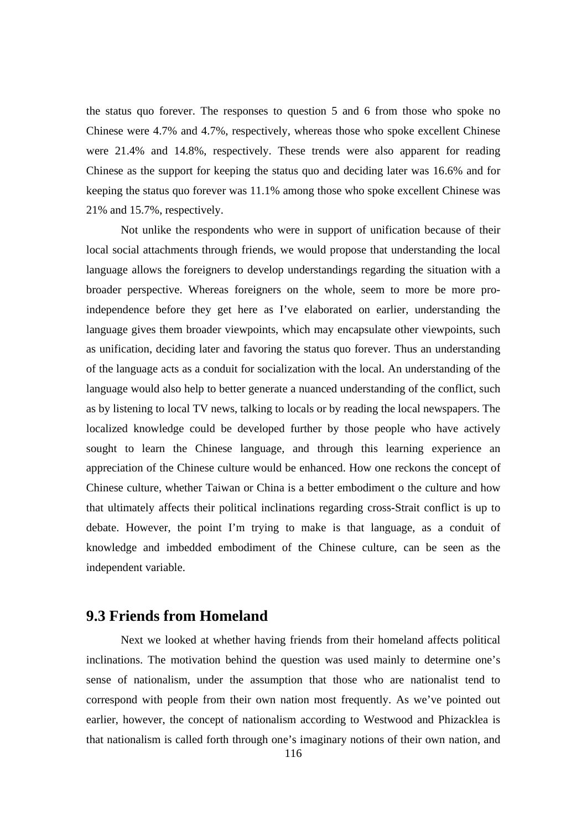the status quo forever. The responses to question 5 and 6 from those who spoke no Chinese were 4.7% and 4.7%, respectively, whereas those who spoke excellent Chinese were 21.4% and 14.8%, respectively. These trends were also apparent for reading Chinese as the support for keeping the status quo and deciding later was 16.6% and for keeping the status quo forever was 11.1% among those who spoke excellent Chinese was 21% and 15.7%, respectively.

Not unlike the respondents who were in support of unification because of their local social attachments through friends, we would propose that understanding the local language allows the foreigners to develop understandings regarding the situation with a broader perspective. Whereas foreigners on the whole, seem to more be more proindependence before they get here as I've elaborated on earlier, understanding the language gives them broader viewpoints, which may encapsulate other viewpoints, such as unification, deciding later and favoring the status quo forever. Thus an understanding of the language acts as a conduit for socialization with the local. An understanding of the language would also help to better generate a nuanced understanding of the conflict, such as by listening to local TV news, talking to locals or by reading the local newspapers. The localized knowledge could be developed further by those people who have actively sought to learn the Chinese language, and through this learning experience an appreciation of the Chinese culture would be enhanced. How one reckons the concept of Chinese culture, whether Taiwan or China is a better embodiment o the culture and how that ultimately affects their political inclinations regarding cross-Strait conflict is up to debate. However, the point I'm trying to make is that language, as a conduit of knowledge and imbedded embodiment of the Chinese culture, can be seen as the independent variable.

#### **9.3 Friends from Homeland**

Next we looked at whether having friends from their homeland affects political inclinations. The motivation behind the question was used mainly to determine one's sense of nationalism, under the assumption that those who are nationalist tend to correspond with people from their own nation most frequently. As we've pointed out earlier, however, the concept of nationalism according to Westwood and Phizacklea is that nationalism is called forth through one's imaginary notions of their own nation, and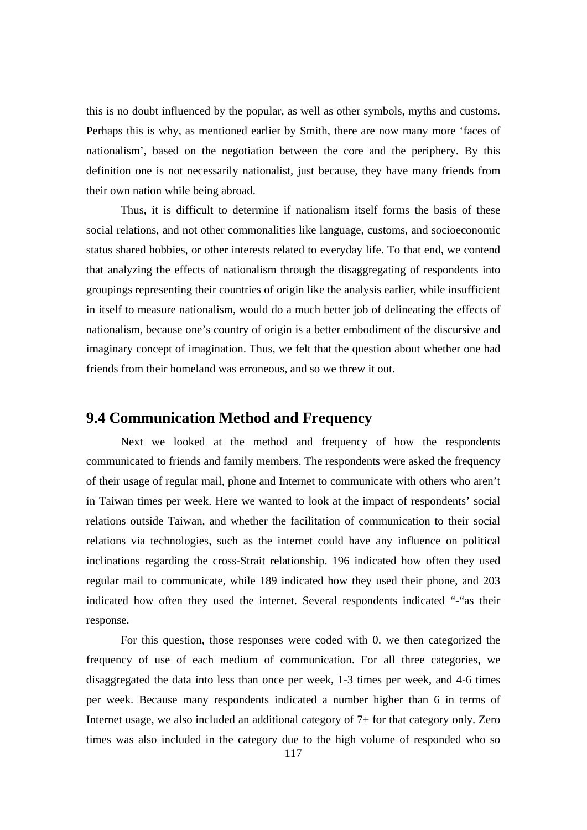this is no doubt influenced by the popular, as well as other symbols, myths and customs. Perhaps this is why, as mentioned earlier by Smith, there are now many more 'faces of nationalism', based on the negotiation between the core and the periphery. By this definition one is not necessarily nationalist, just because, they have many friends from their own nation while being abroad.

Thus, it is difficult to determine if nationalism itself forms the basis of these social relations, and not other commonalities like language, customs, and socioeconomic status shared hobbies, or other interests related to everyday life. To that end, we contend that analyzing the effects of nationalism through the disaggregating of respondents into groupings representing their countries of origin like the analysis earlier, while insufficient in itself to measure nationalism, would do a much better job of delineating the effects of nationalism, because one's country of origin is a better embodiment of the discursive and imaginary concept of imagination. Thus, we felt that the question about whether one had friends from their homeland was erroneous, and so we threw it out.

#### **9.4 Communication Method and Frequency**

Next we looked at the method and frequency of how the respondents communicated to friends and family members. The respondents were asked the frequency of their usage of regular mail, phone and Internet to communicate with others who aren't in Taiwan times per week. Here we wanted to look at the impact of respondents' social relations outside Taiwan, and whether the facilitation of communication to their social relations via technologies, such as the internet could have any influence on political inclinations regarding the cross-Strait relationship. 196 indicated how often they used regular mail to communicate, while 189 indicated how they used their phone, and 203 indicated how often they used the internet. Several respondents indicated "-"as their response.

For this question, those responses were coded with 0. we then categorized the frequency of use of each medium of communication. For all three categories, we disaggregated the data into less than once per week, 1-3 times per week, and 4-6 times per week. Because many respondents indicated a number higher than 6 in terms of Internet usage, we also included an additional category of 7+ for that category only. Zero times was also included in the category due to the high volume of responded who so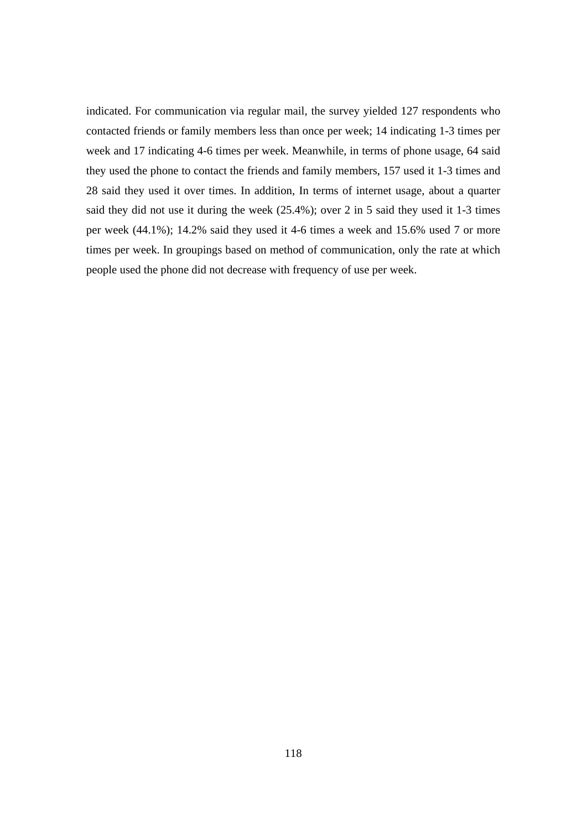indicated. For communication via regular mail, the survey yielded 127 respondents who contacted friends or family members less than once per week; 14 indicating 1-3 times per week and 17 indicating 4-6 times per week. Meanwhile, in terms of phone usage, 64 said they used the phone to contact the friends and family members, 157 used it 1-3 times and 28 said they used it over times. In addition, In terms of internet usage, about a quarter said they did not use it during the week (25.4%); over 2 in 5 said they used it 1-3 times per week (44.1%); 14.2% said they used it 4-6 times a week and 15.6% used 7 or more times per week. In groupings based on method of communication, only the rate at which people used the phone did not decrease with frequency of use per week.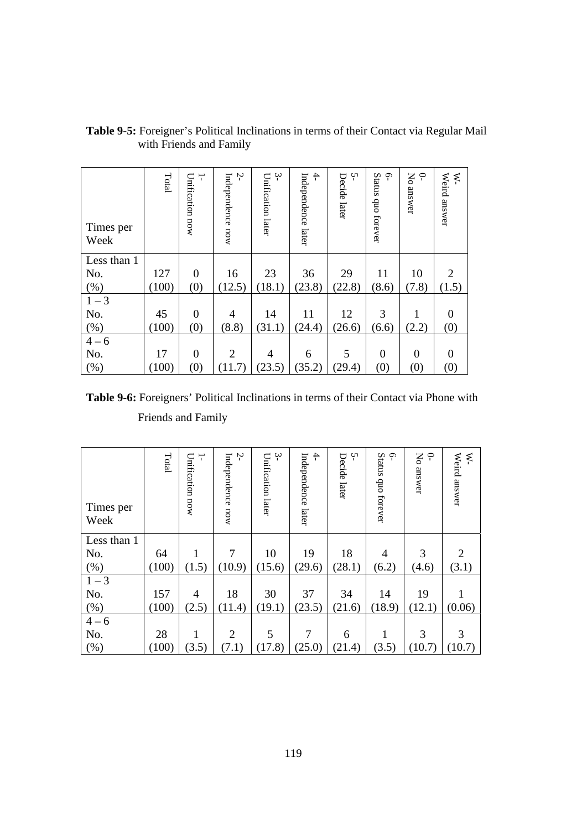| Times per<br>Week | Total | Unification now<br>┯ | Ņ<br>Independence now | $\ddot{ }$<br>Unification later | $\ddot{+}$<br>Independence later | Ļ٦<br>Decide later | <b>Status</b><br>$\varphi$<br>quo forever | Σó<br>$\varphi$<br>answer | Weird answer<br>₹ |
|-------------------|-------|----------------------|-----------------------|---------------------------------|----------------------------------|--------------------|-------------------------------------------|---------------------------|-------------------|
| Less than 1       |       |                      |                       |                                 |                                  |                    |                                           |                           |                   |
| No.               | 127   | $\overline{0}$       | 16                    | 23                              | 36                               | 29                 | 11                                        | 10                        | 2                 |
| $(\%)$            | (100) | (0)                  | (12.5)                | (18.1)                          | (23.8)                           | (22.8)             | (8.6)                                     | (7.8)                     | (1.5)             |
| $1 - 3$           |       |                      |                       |                                 |                                  |                    |                                           |                           |                   |
| No.               | 45    | $\overline{0}$       | 4                     | 14                              | 11                               | 12                 | 3                                         | 1                         | $\overline{0}$    |
| $(\% )$           | (100) | (0)                  | (8.8)                 | (31.1)                          | (24.4)                           | (26.6)             | (6.6)                                     | (2.2)                     | (0)               |
| $4 - 6$           |       |                      |                       |                                 |                                  |                    |                                           |                           |                   |
| No.               | 17    | $\mathbf{0}$         | $\overline{2}$        | 4                               | 6                                | 5                  | $\mathbf{0}$                              | $\overline{0}$            | $\theta$          |
| (% )              | (100) | (0)                  | (11.7)                | (23.5)                          | (35.2)                           | (29.4)             | (0)                                       | (0)                       | (0)               |

**Table 9-5:** Foreigner's Political Inclinations in terms of their Contact via Regular Mail with Friends and Family

### **Table 9-6:** Foreigners' Political Inclinations in terms of their Contact via Phone with Friends and Family

| Times per<br>Week | Total | Unification now<br>┯ | Independence now<br>Ņ | ب<br>Unification later | $\ddot{+}$<br>Independence later | Ļ٦<br>Decide<br>later | P.<br>Status quo forever | $\subset$<br>$\mathbf{S}$<br>answer | Weird answer<br>₹ |
|-------------------|-------|----------------------|-----------------------|------------------------|----------------------------------|-----------------------|--------------------------|-------------------------------------|-------------------|
| Less than 1       |       |                      |                       |                        |                                  |                       |                          |                                     |                   |
| No.               | 64    | 1                    | 7                     | 10                     | 19                               | 18                    | 4                        | 3                                   | 2                 |
| $(\%)$            | (100) | (1.5)                | (10.9)                | (15.6)                 | (29.6)                           | (28.1)                | (6.2)                    | (4.6)                               | (3.1)             |
| $1 - 3$           |       |                      |                       |                        |                                  |                       |                          |                                     |                   |
| No.               | 157   | 4                    | 18                    | 30                     | 37                               | 34                    | 14                       | 19                                  |                   |
| $(\%)$            | (100) | (2.5)                | (11.4)                | (19.1)                 | (23.5)                           | (21.6)                | (18.9)                   | (12.1)                              | (0.06)            |
| $4 - 6$           |       |                      |                       |                        |                                  |                       |                          |                                     |                   |
| No.               | 28    | 1                    | $\overline{2}$        | 5                      | 7                                | 6                     |                          | 3                                   | 3                 |
| $(\%)$            | (100) | (3.5)                | (7.1)                 | (17.8)                 | (25.0)                           | (21.4)                | (3.5)                    | (10.7)                              | (10.7)            |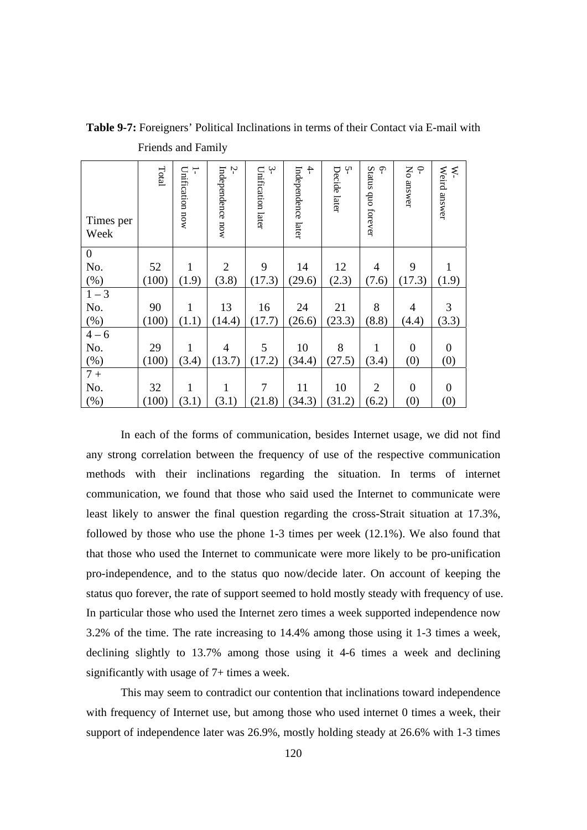| Times per<br>Week | Total | Unification now<br>÷ | Ņ<br>Independence now | $\ddot{ }$<br>Unification later | $\ddot{+}$<br>Independence later | Ļ٦<br>Decide later | Status quo forever<br><b>م</b> . | Ňo<br>$\tilde{\mathcal{L}}$<br>answer | Weird answer<br>₹ |
|-------------------|-------|----------------------|-----------------------|---------------------------------|----------------------------------|--------------------|----------------------------------|---------------------------------------|-------------------|
| $\boldsymbol{0}$  |       |                      |                       |                                 |                                  |                    |                                  |                                       |                   |
| No.               | 52    | 1                    | $\overline{2}$        | 9                               | 14                               | 12                 | $\overline{4}$                   | 9                                     | 1                 |
| (%)               | (100) | (1.9)                | (3.8)                 | (17.3)                          | (29.6)                           | (2.3)              | (7.6)                            | (17.3)                                | (1.9)             |
| $1 - 3$           |       |                      |                       |                                 |                                  |                    |                                  |                                       |                   |
| No.               | 90    | 1                    | 13                    | 16                              | 24                               | 21                 | 8                                | $\overline{4}$                        | 3                 |
| $(\%)$            | (100) | (1.1)                | (14.4)                | (17.7)                          | (26.6)                           | (23.3)             | (8.8)                            | (4.4)                                 | (3.3)             |
| $4 - 6$           |       |                      |                       |                                 |                                  |                    |                                  |                                       |                   |
| No.               | 29    | 1                    | $\overline{4}$        | 5                               | 10                               | 8                  | 1                                | $\boldsymbol{0}$                      | $\mathbf{0}$      |
| (%)               | (100) | (3.4)                | (13.7)                | (17.2)                          | (34.4)                           | (27.5)             | (3.4)                            | (0)                                   | (0)               |
| $7+$              |       |                      |                       |                                 |                                  |                    |                                  |                                       |                   |
| No.               | 32    | 1                    | 1                     | 7                               | 11                               | 10                 | $\overline{2}$                   | $\overline{0}$                        | $\boldsymbol{0}$  |
| (%)               | (100) | (3.1)                | (3.1)                 | (21.8)                          | (34.3)                           | (31.2)             | (6.2)                            | (0)                                   | (0)               |

**Table 9-7:** Foreigners' Political Inclinations in terms of their Contact via E-mail with Friends and Family

In each of the forms of communication, besides Internet usage, we did not find any strong correlation between the frequency of use of the respective communication methods with their inclinations regarding the situation. In terms of internet communication, we found that those who said used the Internet to communicate were least likely to answer the final question regarding the cross-Strait situation at 17.3%, followed by those who use the phone 1-3 times per week (12.1%). We also found that that those who used the Internet to communicate were more likely to be pro-unification pro-independence, and to the status quo now/decide later. On account of keeping the status quo forever, the rate of support seemed to hold mostly steady with frequency of use. In particular those who used the Internet zero times a week supported independence now 3.2% of the time. The rate increasing to 14.4% among those using it 1-3 times a week, declining slightly to 13.7% among those using it 4-6 times a week and declining significantly with usage of 7+ times a week.

This may seem to contradict our contention that inclinations toward independence with frequency of Internet use, but among those who used internet 0 times a week, their support of independence later was 26.9%, mostly holding steady at 26.6% with 1-3 times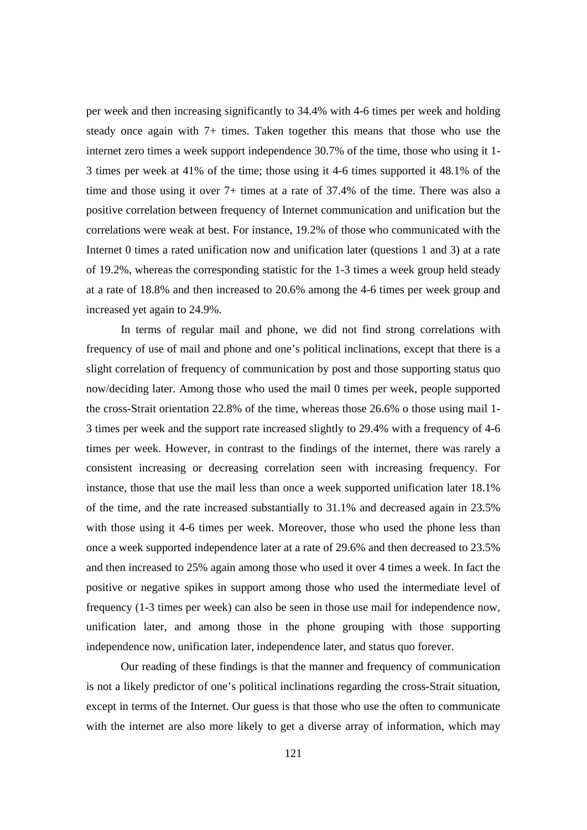per week and then increasing significantly to 34.4% with 4-6 times per week and holding steady once again with 7+ times. Taken together this means that those who use the internet zero times a week support independence 30.7% of the time, those who using it 1- 3 times per week at 41% of the time; those using it 4-6 times supported it 48.1% of the time and those using it over 7+ times at a rate of 37.4% of the time. There was also a positive correlation between frequency of Internet communication and unification but the correlations were weak at best. For instance, 19.2% of those who communicated with the Internet 0 times a rated unification now and unification later (questions 1 and 3) at a rate of 19.2%, whereas the corresponding statistic for the 1-3 times a week group held steady at a rate of 18.8% and then increased to 20.6% among the 4-6 times per week group and increased yet again to 24.9%.

 In terms of regular mail and phone, we did not find strong correlations with frequency of use of mail and phone and one's political inclinations, except that there is a slight correlation of frequency of communication by post and those supporting status quo now/deciding later. Among those who used the mail 0 times per week, people supported the cross-Strait orientation 22.8% of the time, whereas those 26.6% o those using mail 1- 3 times per week and the support rate increased slightly to 29.4% with a frequency of 4-6 times per week. However, in contrast to the findings of the internet, there was rarely a consistent increasing or decreasing correlation seen with increasing frequency. For instance, those that use the mail less than once a week supported unification later 18.1% of the time, and the rate increased substantially to 31.1% and decreased again in 23.5% with those using it 4-6 times per week. Moreover, those who used the phone less than once a week supported independence later at a rate of 29.6% and then decreased to 23.5% and then increased to 25% again among those who used it over 4 times a week. In fact the positive or negative spikes in support among those who used the intermediate level of frequency (1-3 times per week) can also be seen in those use mail for independence now, unification later, and among those in the phone grouping with those supporting independence now, unification later, independence later, and status quo forever.

 Our reading of these findings is that the manner and frequency of communication is not a likely predictor of one's political inclinations regarding the cross-Strait situation, except in terms of the Internet. Our guess is that those who use the often to communicate with the internet are also more likely to get a diverse array of information, which may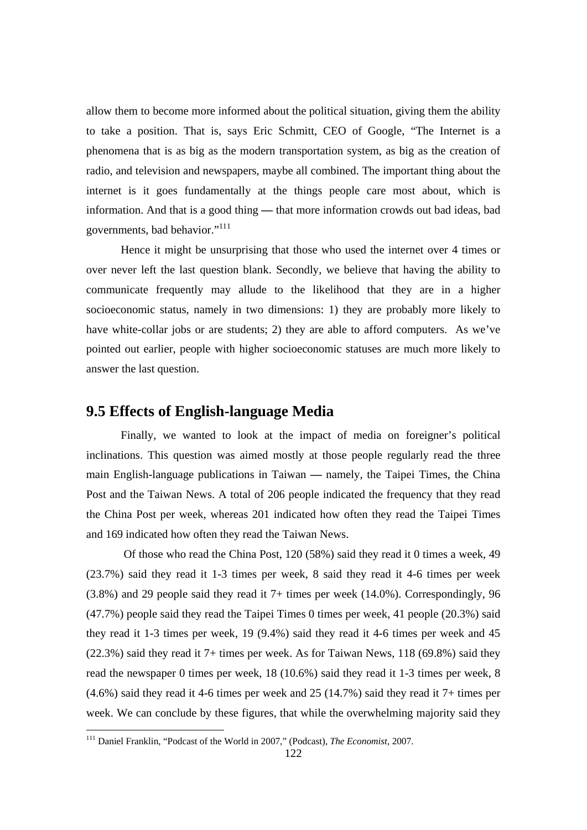allow them to become more informed about the political situation, giving them the ability to take a position. That is, says Eric Schmitt, CEO of Google, "The Internet is a phenomena that is as big as the modern transportation system, as big as the creation of radio, and television and newspapers, maybe all combined. The important thing about the internet is it goes fundamentally at the things people care most about, which is information. And that is a good thing **—** that more information crowds out bad ideas, bad governments, bad behavior."111

Hence it might be unsurprising that those who used the internet over 4 times or over never left the last question blank. Secondly, we believe that having the ability to communicate frequently may allude to the likelihood that they are in a higher socioeconomic status, namely in two dimensions: 1) they are probably more likely to have white-collar jobs or are students; 2) they are able to afford computers. As we've pointed out earlier, people with higher socioeconomic statuses are much more likely to answer the last question.

#### **9.5 Effects of English-language Media**

 Finally, we wanted to look at the impact of media on foreigner's political inclinations. This question was aimed mostly at those people regularly read the three main English-language publications in Taiwan **—** namely, the Taipei Times, the China Post and the Taiwan News. A total of 206 people indicated the frequency that they read the China Post per week, whereas 201 indicated how often they read the Taipei Times and 169 indicated how often they read the Taiwan News.

 Of those who read the China Post, 120 (58%) said they read it 0 times a week, 49 (23.7%) said they read it 1-3 times per week, 8 said they read it 4-6 times per week (3.8%) and 29 people said they read it 7+ times per week (14.0%). Correspondingly, 96 (47.7%) people said they read the Taipei Times 0 times per week, 41 people (20.3%) said they read it 1-3 times per week, 19 (9.4%) said they read it 4-6 times per week and 45 (22.3%) said they read it 7+ times per week. As for Taiwan News, 118 (69.8%) said they read the newspaper 0 times per week, 18 (10.6%) said they read it 1-3 times per week, 8 (4.6%) said they read it 4-6 times per week and 25 (14.7%) said they read it 7+ times per week. We can conclude by these figures, that while the overwhelming majority said they

<sup>111</sup> Daniel Franklin, "Podcast of the World in 2007," (Podcast), *The Economist*, 2007.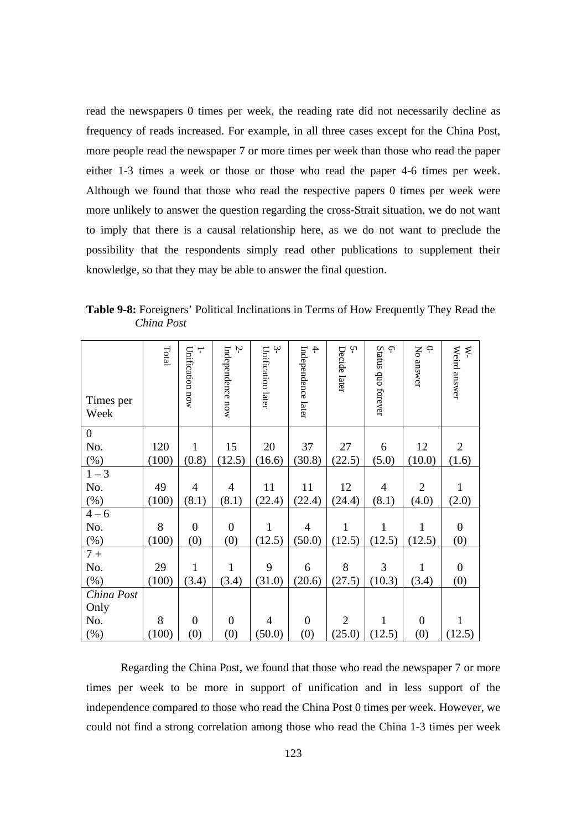read the newspapers 0 times per week, the reading rate did not necessarily decline as frequency of reads increased. For example, in all three cases except for the China Post, more people read the newspaper 7 or more times per week than those who read the paper either 1-3 times a week or those or those who read the paper 4-6 times per week. Although we found that those who read the respective papers 0 times per week were more unlikely to answer the question regarding the cross-Strait situation, we do not want to imply that there is a causal relationship here, as we do not want to preclude the possibility that the respondents simply read other publications to supplement their knowledge, so that they may be able to answer the final question.

**Table 9-8:** Foreigners' Political Inclinations in Terms of How Frequently They Read the *China Post* 

| Times per<br>Week | Total | Unification now<br>T | Ņ<br>Independence now | $\sim$<br>Unification later | $\ddot{+}$<br>Independence later | Y١<br>Decide later | Status quo forever<br>م. | $\subset$<br>Σρ<br>answer | Weird answer<br>₹. |
|-------------------|-------|----------------------|-----------------------|-----------------------------|----------------------------------|--------------------|--------------------------|---------------------------|--------------------|
| $\boldsymbol{0}$  |       |                      |                       |                             |                                  |                    |                          |                           |                    |
| No.               | 120   | $\mathbf{1}$         | 15                    | 20                          | 37                               | 27                 | 6                        | 12                        | $\overline{2}$     |
| (%)               | (100) | (0.8)                | (12.5)                | (16.6)                      | (30.8)                           | (22.5)             | (5.0)                    | (10.0)                    | (1.6)              |
| $1 - 3$           |       |                      |                       |                             |                                  |                    |                          |                           |                    |
| No.               | 49    | $\overline{4}$       | $\overline{4}$        | 11                          | 11                               | 12                 | $\overline{4}$           | $\overline{2}$            | $\mathbf{1}$       |
| (%)               | (100) | (8.1)                | (8.1)                 | (22.4)                      | (22.4)                           | (24.4)             | (8.1)                    | (4.0)                     | (2.0)              |
| $4 - 6$           |       |                      |                       |                             |                                  |                    |                          |                           |                    |
| No.               | 8     | $\boldsymbol{0}$     | $\overline{0}$        | $\mathbf{1}$                | $\overline{4}$                   | $\mathbf{1}$       | $\mathbf{1}$             | 1                         | $\boldsymbol{0}$   |
| $(\% )$           | (100) | (0)                  | (0)                   | (12.5)                      | (50.0)                           | (12.5)             | (12.5)                   | (12.5)                    | (0)                |
| $7+$              |       |                      |                       |                             |                                  |                    |                          |                           |                    |
| No.               | 29    | $\mathbf{1}$         | $\mathbf{1}$          | 9                           | 6                                | 8                  | 3                        | 1                         | $\overline{0}$     |
| $(\%)$            | (100) | (3.4)                | (3.4)                 | (31.0)                      | (20.6)                           | (27.5)             | (10.3)                   | (3.4)                     | (0)                |
| China Post        |       |                      |                       |                             |                                  |                    |                          |                           |                    |
| Only              |       |                      |                       |                             |                                  |                    |                          |                           |                    |
| No.               | 8     | $\boldsymbol{0}$     | $\mathbf{0}$          | 4                           | $\mathbf{0}$                     | $\overline{2}$     | 1                        | $\boldsymbol{0}$          | $\mathbf{1}$       |
| (%)               | (100) | (0)                  | (0)                   | (50.0)                      | (0)                              | (25.0)             | (12.5)                   | (0)                       | (12.5)             |

 Regarding the China Post, we found that those who read the newspaper 7 or more times per week to be more in support of unification and in less support of the independence compared to those who read the China Post 0 times per week. However, we could not find a strong correlation among those who read the China 1-3 times per week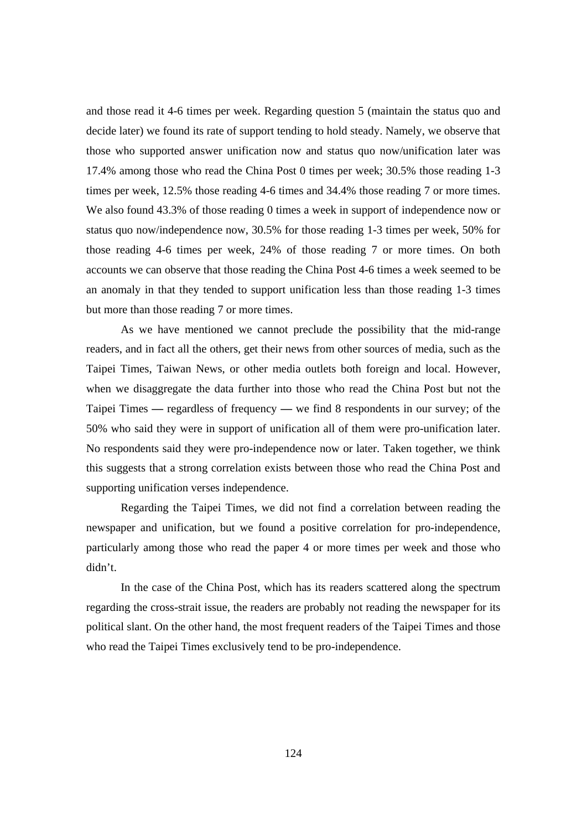and those read it 4-6 times per week. Regarding question 5 (maintain the status quo and decide later) we found its rate of support tending to hold steady. Namely, we observe that those who supported answer unification now and status quo now/unification later was 17.4% among those who read the China Post 0 times per week; 30.5% those reading 1-3 times per week, 12.5% those reading 4-6 times and 34.4% those reading 7 or more times. We also found 43.3% of those reading 0 times a week in support of independence now or status quo now/independence now, 30.5% for those reading 1-3 times per week, 50% for those reading 4-6 times per week, 24% of those reading 7 or more times. On both accounts we can observe that those reading the China Post 4-6 times a week seemed to be an anomaly in that they tended to support unification less than those reading 1-3 times but more than those reading 7 or more times.

As we have mentioned we cannot preclude the possibility that the mid-range readers, and in fact all the others, get their news from other sources of media, such as the Taipei Times, Taiwan News, or other media outlets both foreign and local. However, when we disaggregate the data further into those who read the China Post but not the Taipei Times **—** regardless of frequency **—** we find 8 respondents in our survey; of the 50% who said they were in support of unification all of them were pro-unification later. No respondents said they were pro-independence now or later. Taken together, we think this suggests that a strong correlation exists between those who read the China Post and supporting unification verses independence.

 Regarding the Taipei Times, we did not find a correlation between reading the newspaper and unification, but we found a positive correlation for pro-independence, particularly among those who read the paper 4 or more times per week and those who didn't.

 In the case of the China Post, which has its readers scattered along the spectrum regarding the cross-strait issue, the readers are probably not reading the newspaper for its political slant. On the other hand, the most frequent readers of the Taipei Times and those who read the Taipei Times exclusively tend to be pro-independence.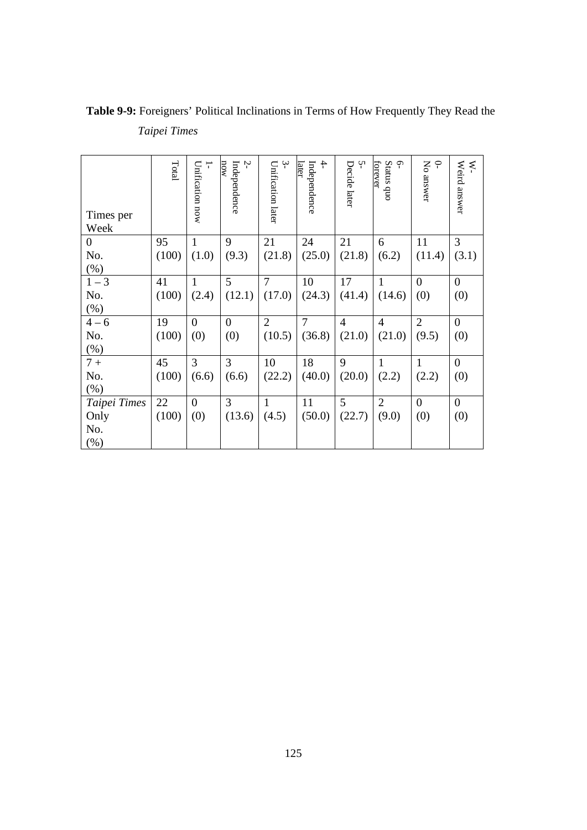| Times per<br>Week | Total | $\overline{ }$<br>Unification now | Ņ<br>now<br>Independence | $\ddot{ }$<br>Unification later | $rac{4}{1}$<br>later<br>Independence | Ņ<br>Decide later | Status quo<br>Ģ<br>forever | P<br>No answer | Weird answer<br>₹ |
|-------------------|-------|-----------------------------------|--------------------------|---------------------------------|--------------------------------------|-------------------|----------------------------|----------------|-------------------|
| 0                 | 95    | $\mathbf{1}$                      | 9                        | 21                              | 24                                   | 21                | 6                          | 11             | 3                 |
| No.               | (100) | (1.0)                             | (9.3)                    | (21.8)                          | (25.0)                               | (21.8)            | (6.2)                      | (11.4)         | (3.1)             |
| $(\%)$            |       |                                   |                          |                                 |                                      |                   |                            |                |                   |
| $1 - 3$           | 41    | 1                                 | 5                        | $\overline{7}$                  | 10                                   | 17                | 1                          | $\theta$       | $\theta$          |
| No.               | (100) | (2.4)                             | (12.1)                   | (17.0)                          | (24.3)                               | (41.4)            | (14.6)                     | (0)            | (0)               |
| $(\%)$            |       |                                   |                          |                                 |                                      |                   |                            |                |                   |
| $4 - 6$           | 19    | $\overline{0}$                    | $\overline{0}$           | $\overline{2}$                  | 7                                    | $\overline{4}$    | $\overline{4}$             | $\overline{2}$ | $\overline{0}$    |
| No.               | (100) | (0)                               | (0)                      | (10.5)                          | (36.8)                               | (21.0)            | (21.0)                     | (9.5)          | (0)               |
| (%)               |       |                                   |                          |                                 |                                      |                   |                            |                |                   |
| $7+$              | 45    | $\overline{3}$                    | 3                        | 10                              | 18                                   | 9                 |                            | 1              | $\overline{0}$    |
| No.               | (100) | (6.6)                             | (6.6)                    | (22.2)                          | (40.0)                               | (20.0)            | (2.2)                      | (2.2)          | (0)               |
| (% )              |       |                                   |                          |                                 |                                      |                   |                            |                |                   |
| Taipei Times      | 22    | $\overline{0}$                    | 3                        | $\mathbf{1}$                    | 11                                   | 5                 | $\overline{2}$             | $\theta$       | $\overline{0}$    |
| Only              | (100) | (0)                               | (13.6)                   | (4.5)                           | (50.0)                               | (22.7)            | (9.0)                      | (0)            | (0)               |
| No.               |       |                                   |                          |                                 |                                      |                   |                            |                |                   |
| $(\%)$            |       |                                   |                          |                                 |                                      |                   |                            |                |                   |

**Table 9-9:** Foreigners' Political Inclinations in Terms of How Frequently They Read the *Taipei Times*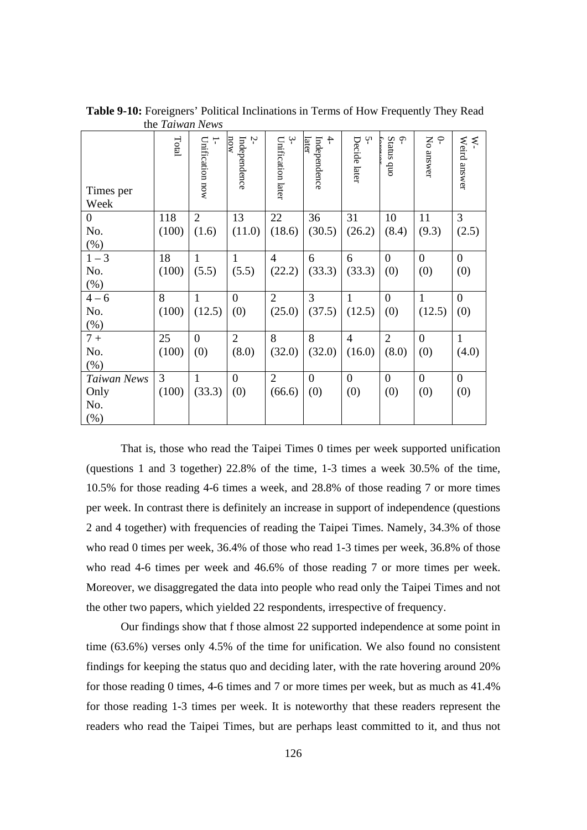| Times per<br>Week  | Total | T<br>Unification now | Ņ<br>now<br>Independence | ب<br>Unification later | 4<br>Independence<br>later | Ņ<br>Decide later | $\varphi$<br>Status quo<br>ţ | $\varphi$<br>No answer | Weird answer<br>ķ. |
|--------------------|-------|----------------------|--------------------------|------------------------|----------------------------|-------------------|------------------------------|------------------------|--------------------|
| $\boldsymbol{0}$   | 118   | $\overline{2}$       | 13                       | 22                     | 36                         | 31                | 10                           | 11                     | $\mathfrak{Z}$     |
| No.                | (100) | (1.6)                | (11.0)                   | (18.6)                 | (30.5)                     | (26.2)            | (8.4)                        | (9.3)                  | (2.5)              |
| $(\%)$             |       |                      |                          |                        |                            |                   |                              |                        |                    |
| $1 - 3$            | 18    | 1                    | 1                        | $\overline{4}$         | 6                          | 6                 | $\Omega$                     | $\theta$               | $\boldsymbol{0}$   |
| No.                | (100) | (5.5)                | (5.5)                    | (22.2)                 | (33.3)                     | (33.3)            | (0)                          | (0)                    | (0)                |
| $(\%)$             |       |                      |                          |                        |                            |                   |                              |                        |                    |
| $4 - 6$            | 8     | $\mathbf{1}$         | $\theta$                 | $\overline{2}$         | 3                          | $\mathbf{1}$      | $\theta$                     | $\mathbf{1}$           | $\overline{0}$     |
| No.                | (100) | (12.5)               | (0)                      | (25.0)                 | (37.5)                     | (12.5)            | (0)                          | (12.5)                 | (0)                |
| $(\%)$             |       |                      |                          |                        |                            |                   |                              |                        |                    |
| $7+$               | 25    | $\overline{0}$       | $\overline{2}$           | 8                      | 8                          | $\overline{4}$    | $\overline{2}$               | $\overline{0}$         | $\mathbf{1}$       |
| No.                | (100) | (0)                  | (8.0)                    | (32.0)                 | (32.0)                     | (16.0)            | (8.0)                        | (0)                    | (4.0)              |
| $(\% )$            |       |                      |                          |                        |                            |                   |                              |                        |                    |
| <b>Taiwan News</b> | 3     | $\mathbf{1}$         | $\overline{0}$           | $\overline{2}$         | $\theta$                   | $\theta$          | $\theta$                     | $\overline{0}$         | $\boldsymbol{0}$   |
| Only               | (100) | (33.3)               | (0)                      | (66.6)                 | (0)                        | (0)               | (0)                          | (0)                    | (0)                |
| No.                |       |                      |                          |                        |                            |                   |                              |                        |                    |
| (% )               |       |                      |                          |                        |                            |                   |                              |                        |                    |

**Table 9-10:** Foreigners' Political Inclinations in Terms of How Frequently They Read the *Taiwan News* 

That is, those who read the Taipei Times 0 times per week supported unification (questions 1 and 3 together) 22.8% of the time, 1-3 times a week 30.5% of the time, 10.5% for those reading 4-6 times a week, and 28.8% of those reading 7 or more times per week. In contrast there is definitely an increase in support of independence (questions 2 and 4 together) with frequencies of reading the Taipei Times. Namely, 34.3% of those who read 0 times per week, 36.4% of those who read 1-3 times per week, 36.8% of those who read 4-6 times per week and 46.6% of those reading 7 or more times per week. Moreover, we disaggregated the data into people who read only the Taipei Times and not the other two papers, which yielded 22 respondents, irrespective of frequency.

Our findings show that f those almost 22 supported independence at some point in time (63.6%) verses only 4.5% of the time for unification. We also found no consistent findings for keeping the status quo and deciding later, with the rate hovering around 20% for those reading 0 times, 4-6 times and 7 or more times per week, but as much as 41.4% for those reading 1-3 times per week. It is noteworthy that these readers represent the readers who read the Taipei Times, but are perhaps least committed to it, and thus not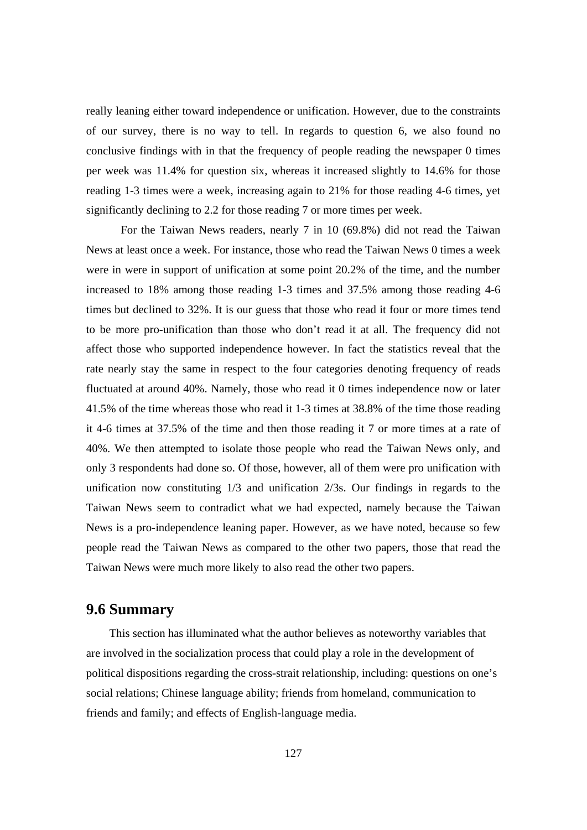really leaning either toward independence or unification. However, due to the constraints of our survey, there is no way to tell. In regards to question 6, we also found no conclusive findings with in that the frequency of people reading the newspaper 0 times per week was 11.4% for question six, whereas it increased slightly to 14.6% for those reading 1-3 times were a week, increasing again to 21% for those reading 4-6 times, yet significantly declining to 2.2 for those reading 7 or more times per week.

 For the Taiwan News readers, nearly 7 in 10 (69.8%) did not read the Taiwan News at least once a week. For instance, those who read the Taiwan News 0 times a week were in were in support of unification at some point 20.2% of the time, and the number increased to 18% among those reading 1-3 times and 37.5% among those reading 4-6 times but declined to 32%. It is our guess that those who read it four or more times tend to be more pro-unification than those who don't read it at all. The frequency did not affect those who supported independence however. In fact the statistics reveal that the rate nearly stay the same in respect to the four categories denoting frequency of reads fluctuated at around 40%. Namely, those who read it 0 times independence now or later 41.5% of the time whereas those who read it 1-3 times at 38.8% of the time those reading it 4-6 times at 37.5% of the time and then those reading it 7 or more times at a rate of 40%. We then attempted to isolate those people who read the Taiwan News only, and only 3 respondents had done so. Of those, however, all of them were pro unification with unification now constituting 1/3 and unification 2/3s. Our findings in regards to the Taiwan News seem to contradict what we had expected, namely because the Taiwan News is a pro-independence leaning paper. However, as we have noted, because so few people read the Taiwan News as compared to the other two papers, those that read the Taiwan News were much more likely to also read the other two papers.

#### **9.6 Summary**

This section has illuminated what the author believes as noteworthy variables that are involved in the socialization process that could play a role in the development of political dispositions regarding the cross-strait relationship, including: questions on one's social relations; Chinese language ability; friends from homeland, communication to friends and family; and effects of English-language media.